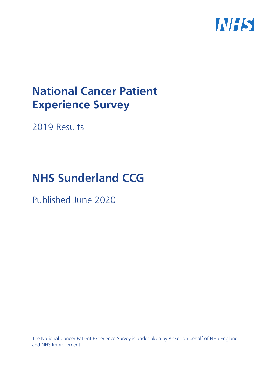

# **National Cancer Patient Experience Survey**

2019 Results

# **NHS Sunderland CCG**

Published June 2020

The National Cancer Patient Experience Survey is undertaken by Picker on behalf of NHS England and NHS Improvement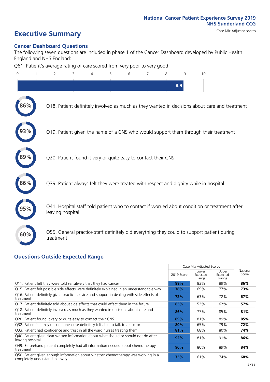### **Executive Summary** Case Mix Adjusted scores

#### **Cancer Dashboard Questions**

The following seven questions are included in phase 1 of the Cancer Dashboard developed by Public Health England and NHS England:

Q61. Patient's average rating of care scored from very poor to very good

| $\overline{0}$ | 1 | $\overline{2}$   | 3 | 4 | 5 | 6 | 7                                                             | 8 | 9   | 10                                                                                            |  |
|----------------|---|------------------|---|---|---|---|---------------------------------------------------------------|---|-----|-----------------------------------------------------------------------------------------------|--|
|                |   |                  |   |   |   |   |                                                               |   | 8.9 |                                                                                               |  |
| 86%            |   |                  |   |   |   |   |                                                               |   |     | Q18. Patient definitely involved as much as they wanted in decisions about care and treatment |  |
|                |   |                  |   |   |   |   |                                                               |   |     | Q19. Patient given the name of a CNS who would support them through their treatment           |  |
|                |   |                  |   |   |   |   | Q20. Patient found it very or quite easy to contact their CNS |   |     |                                                                                               |  |
| 86%            |   |                  |   |   |   |   |                                                               |   |     | Q39. Patient always felt they were treated with respect and dignity while in hospital         |  |
|                |   | leaving hospital |   |   |   |   |                                                               |   |     | Q41. Hospital staff told patient who to contact if worried about condition or treatment after |  |
| 60%            |   | treatment        |   |   |   |   |                                                               |   |     | Q55. General practice staff definitely did everything they could to support patient during    |  |
|                |   |                  |   |   |   |   |                                                               |   |     |                                                                                               |  |

#### **Questions Outside Expected Range**

|                                                                                                                    |            | Case Mix Adjusted Scores   |                            |                   |
|--------------------------------------------------------------------------------------------------------------------|------------|----------------------------|----------------------------|-------------------|
|                                                                                                                    | 2019 Score | Lower<br>Expected<br>Range | Upper<br>Expected<br>Range | National<br>Score |
| Q11. Patient felt they were told sensitively that they had cancer                                                  | 89%        | 83%                        | 89%                        | 86%               |
| Q15. Patient felt possible side effects were definitely explained in an understandable way                         | 78%        | 69%                        | 77%                        | 73%               |
| Q16. Patient definitely given practical advice and support in dealing with side effects of<br>treatment            | 72%        | 63%                        | 72%                        | 67%               |
| Q17. Patient definitely told about side effects that could affect them in the future                               | 65%        | 52%                        | 62%                        | 57%               |
| Q18. Patient definitely involved as much as they wanted in decisions about care and<br>treatment                   | 86%        | 77%                        | 85%                        | 81%               |
| Q20. Patient found it very or quite easy to contact their CNS                                                      | 89%        | 81%                        | 89%                        | 85%               |
| Q32. Patient's family or someone close definitely felt able to talk to a doctor                                    | 80%        | 65%                        | 79%                        | 72%               |
| Q33. Patient had confidence and trust in all the ward nurses treating them                                         | 81%        | 68%                        | 80%                        | 74%               |
| Q40. Patient given clear written information about what should or should not do after<br>leaving hospital          | 92%        | 81%                        | 91%                        | 86%               |
| Q49. Beforehand patient completely had all information needed about chemotherapy<br>treatment                      | 90%        | 80%                        | 89%                        | 84%               |
| Q50. Patient given enough information about whether chemotherapy was working in a<br>completely understandable way | 75%        | 61%                        | 74%                        | 68%               |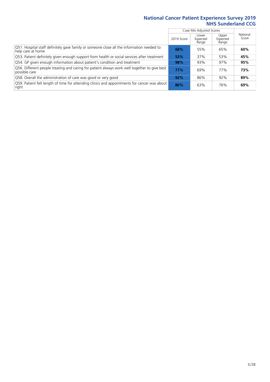|                                                                                                                |            | Case Mix Adjusted Scores   |                            |                   |
|----------------------------------------------------------------------------------------------------------------|------------|----------------------------|----------------------------|-------------------|
|                                                                                                                | 2019 Score | Lower<br>Expected<br>Range | Upper<br>Expected<br>Range | National<br>Score |
| Q51. Hospital staff definitely gave family or someone close all the information needed to<br>help care at home | 68%        | 55%                        | 65%                        | 60%               |
| Q53. Patient definitely given enough support from health or social services after treatment                    | 53%        | 37%                        | 53%                        | 45%               |
| Q54. GP given enough information about patient's condition and treatment                                       | 98%        | 93%                        | 97%                        | 95%               |
| Q56. Different people treating and caring for patient always work well together to give best<br>possible care  | <b>77%</b> | 69%                        | 77%                        | 73%               |
| Q58. Overall the administration of care was good or very good                                                  | 92%        | 86%                        | 92%                        | 89%               |
| [Q59] Patient felt length of time for attending clinics and appointments for cancer was about<br>right         | 80%        | 63%                        | 76%                        | 69%               |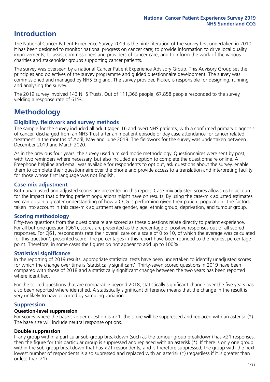### **Introduction**

The National Cancer Patient Experience Survey 2019 is the ninth iteration of the survey first undertaken in 2010. It has been designed to monitor national progress on cancer care; to provide information to drive local quality improvements; to assist commissioners and providers of cancer care; and to inform the work of the various charities and stakeholder groups supporting cancer patients.

The survey was overseen by a national Cancer Patient Experience Advisory Group. This Advisory Group set the principles and objectives of the survey programme and guided questionnaire development. The survey was commissioned and managed by NHS England. The survey provider, Picker, is responsible for designing, running and analysing the survey.

The 2019 survey involved 143 NHS Trusts. Out of 111,366 people, 67,858 people responded to the survey, yielding a response rate of 61%.

### **Methodology**

### **Eligibility, eldwork and survey methods**

The sample for the survey included all adult (aged 16 and over) NHS patients, with a confirmed primary diagnosis of cancer, discharged from an NHS Trust after an inpatient episode or day case attendance for cancer related treatment in the months of April, May and June 2019. The fieldwork for the survey was undertaken between December 2019 and March 2020.

As in the previous four years, the survey used a mixed mode methodology. Questionnaires were sent by post, with two reminders where necessary, but also included an option to complete the questionnaire online. A Freephone helpline and email was available for respondents to opt out, ask questions about the survey, enable them to complete their questionnaire over the phone and provide access to a translation and interpreting facility for those whose first language was not English.

### **Case-mix adjustment**

Both unadjusted and adjusted scores are presented in this report. Case-mix adjusted scores allows us to account for the impact that differing patient populations might have on results. By using the case-mix adjusted estimates we can obtain a greater understanding of how a CCG is performing given their patient population. The factors taken into account in this case-mix adjustment are gender, age, ethnic group, deprivation, and tumour group.

### **Scoring methodology**

Fifty-two questions from the questionnaire are scored as these questions relate directly to patient experience. For all but one question (Q61), scores are presented as the percentage of positive responses out of all scored responses. For Q61, respondents rate their overall care on a scale of 0 to 10, of which the average was calculated for this question's presented score. The percentages in this report have been rounded to the nearest percentage point. Therefore, in some cases the figures do not appear to add up to 100%.

### **Statistical significance**

In the reporting of 2019 results, appropriate statistical tests have been undertaken to identify unadjusted scores for which the change over time is 'statistically significant'. Thirty-seven scored questions in 2019 have been compared with those of 2018 and a statistically significant change between the two years has been reported where identified.

For the scored questions that are comparable beyond 2018, statistically significant change over the five years has also been reported where identified. A statistically significant difference means that the change in the result is very unlikely to have occurred by sampling variation.

### **Suppression**

### **Question-level suppression**

For scores where the base size per question is  $<$ 21, the score will be suppressed and replaced with an asterisk (\*). The base size will include neutral response options.

### **Double suppression**

If any group within a particular sub-group breakdown (such as the tumour group breakdown) has <21 responses, then the figure for this particular group is suppressed and replaced with an asterisk (\*). If there is only one group within the sub-group breakdown that has <21 respondents, and is therefore suppressed, the group with the next lowest number of respondents is also supressed and replaced with an asterisk (\*) (regardless if it is greater than or less than 21).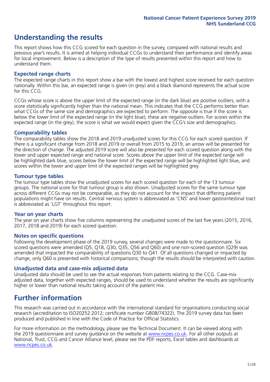### **Understanding the results**

This report shows how this CCG scored for each question in the survey, compared with national results and previous year's results. It is aimed at helping individual CCGs to understand their performance and identify areas for local improvement. Below is a description of the type of results presented within this report and how to understand them.

### **Expected range charts**

The expected range charts in this report show a bar with the lowest and highest score received for each question nationally. Within this bar, an expected range is given (in grey) and a black diamond represents the actual score for this CCG.

CCGs whose score is above the upper limit of the expected range (in the dark blue) are positive outliers, with a score statistically significantly higher than the national mean. This indicates that the CCG performs better than what CCGs of the same size and demographics are expected to perform. The opposite is true if the score is below the lower limit of the expected range (in the light blue); these are negative outliers. For scores within the expected range (in the grey), the score is what we would expect given the CCG's size and demographics.

### **Comparability tables**

The comparability tables show the 2018 and 2019 unadjusted scores for this CCG for each scored question. If there is a significant change from 2018 and 2019 or overall from 2015 to 2019, an arrow will be presented for the direction of change. The adjusted 2019 score will also be presented for each scored question along with the lower and upper expected range and national score. Scores above the upper limit of the expected range will be highlighted dark blue, scores below the lower limit of the expected range will be highlighted light blue, and scores within the lower and upper limit of the expected ranges will be highlighted grey.

### **Tumour type tables**

The tumour type tables show the unadjusted scores for each scored question for each of the 13 tumour groups. The national score for that tumour group is also shown. Unadjusted scores for the same tumour type across different CCGs may not be comparable, as they do not account for the impact that differing patient populations might have on results. Central nervous system is abbreviated as 'CNS' and lower gastrointestinal tract is abbreviated as 'LGT' throughout this report.

### **Year on year charts**

The year on year charts show five columns representing the unadjusted scores of the last five years (2015, 2016, 2017, 2018 and 2019) for each scored question.

#### **Notes on specific questions**

Following the development phase of the 2019 survey, several changes were made to the questionnaire. Six scored questions were amended (Q5, Q18, Q30, Q35, Q56 and Q60) and one non-scored question (Q29) was amended that impacted the comparability of questions Q30 to Q41. Of all questions changed or impacted by change, only Q60 is presented with historical comparisons; though the results should be interpreted with caution.

### **Unadjusted data and case-mix adjusted data**

Unadjusted data should be used to see the actual responses from patients relating to the CCG. Case-mix adjusted data, together with expected ranges, should be used to understand whether the results are significantly higher or lower than national results taking account of the patient mix.

### **Further information**

This research was carried out in accordance with the international standard for organisations conducting social research (accreditation to ISO20252:2012; certificate number GB08/74322). The 2019 survey data has been produced and published in line with the Code of Practice for Official Statistics.

For more information on the methodology, please see the Technical Document. It can be viewed along with the 2019 questionnaire and survey quidance on the website at [www.ncpes.co.uk](https://www.ncpes.co.uk/supporting-documents). For all other outputs at National, Trust, CCG and Cancer Alliance level, please see the PDF reports, Excel tables and dashboards at [www.ncpes.co.uk.](https://www.ncpes.co.uk/current-results)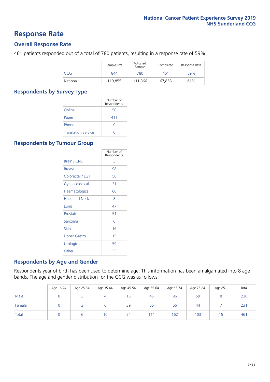### **Response Rate**

### **Overall Response Rate**

461 patients responded out of a total of 780 patients, resulting in a response rate of 59%.

|          | Sample Size | Adjusted<br>Sample | Completed | Response Rate |
|----------|-------------|--------------------|-----------|---------------|
| CCG      | 844         | 780                | 461       | 59%           |
| National | 119,855     | 111.366            | 67,858    | 61%           |

### **Respondents by Survey Type**

|                            | Number of<br>Respondents |
|----------------------------|--------------------------|
| Online                     | 50                       |
| Paper                      | 411                      |
| Phone                      | O                        |
| <b>Translation Service</b> |                          |

### **Respondents by Tumour Group**

|                      | Number of<br>Respondents |
|----------------------|--------------------------|
| <b>Brain / CNS</b>   | 3                        |
| <b>Breast</b>        | 98                       |
| Colorectal / LGT     | 50                       |
| Gynaecological       | 21                       |
| Haematological       | 60                       |
| <b>Head and Neck</b> | 8                        |
| Lung                 | 47                       |
| Prostate             | 51                       |
| Sarcoma              | Ω                        |
| Skin                 | 16                       |
| <b>Upper Gastro</b>  | 15                       |
| Urological           | 59                       |
| Other                | 33                       |

### **Respondents by Age and Gender**

Respondents year of birth has been used to determine age. This information has been amalgamated into 8 age bands. The age and gender distribution for the CCG was as follows:

|        | Age 16-24 | Age 25-34 | Age 35-44 | Age 45-54 | Age 55-64 | Age 65-74 | Age 75-84 | Age 85+ | Total |
|--------|-----------|-----------|-----------|-----------|-----------|-----------|-----------|---------|-------|
| Male   |           |           | 4         | 15        | 45        | 96        | 59        |         | 230   |
| Female |           |           | ь         | 39        | 66        | 66        | 44        |         | 231   |
| Total  |           |           | 10        | 54        | 111       | 162       | 103       | 15      | 461   |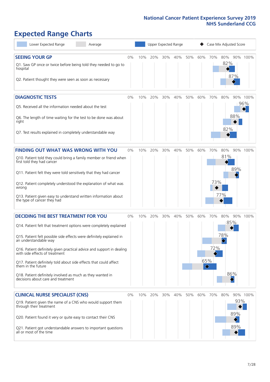### **Expected Range Charts**

| Lower Expected Range<br>Average                                                                                                                                                                                                                                                                                                                                                                                                                                                                                             | Upper Expected Range<br>Case Mix Adjusted Score |     |     |     |     |     |     |                                 |                          |                   |                 |
|-----------------------------------------------------------------------------------------------------------------------------------------------------------------------------------------------------------------------------------------------------------------------------------------------------------------------------------------------------------------------------------------------------------------------------------------------------------------------------------------------------------------------------|-------------------------------------------------|-----|-----|-----|-----|-----|-----|---------------------------------|--------------------------|-------------------|-----------------|
| <b>SEEING YOUR GP</b><br>Q1. Saw GP once or twice before being told they needed to go to<br>hospital<br>Q2. Patient thought they were seen as soon as necessary                                                                                                                                                                                                                                                                                                                                                             | $0\%$                                           | 10% | 20% | 30% | 40% | 50% | 60% | 70%                             | 80% 90% 100%<br>82%      | 87%               |                 |
| <b>DIAGNOSTIC TESTS</b><br>Q5. Received all the information needed about the test<br>Q6. The length of time waiting for the test to be done was about<br>right<br>Q7. Test results explained in completely understandable way                                                                                                                                                                                                                                                                                               | $0\%$                                           | 10% | 20% | 30% | 40% | 50% | 60% | 70%                             | 80%<br>82%               | 88%               | 90% 100%<br>96% |
| <b>FINDING OUT WHAT WAS WRONG WITH YOU</b><br>Q10. Patient told they could bring a family member or friend when<br>first told they had cancer<br>Q11. Patient felt they were told sensitively that they had cancer<br>Q12. Patient completely understood the explanation of what was<br>wrong<br>Q13. Patient given easy to understand written information about<br>the type of cancer they had                                                                                                                             | 0%                                              | 10% | 20% | 30% | 40% | 50% | 60% | 70%<br>73%                      | 80%<br>81%<br>77%        | 89%               | 90% 100%        |
| <b>DECIDING THE BEST TREATMENT FOR YOU</b><br>Q14. Patient felt that treatment options were completely explained<br>Q15. Patient felt possible side effects were definitely explained in<br>an understandable way<br>Q16. Patient definitely given practical advice and support in dealing<br>with side effects of treatment<br>Q17. Patient definitely told about side effects that could affect<br>them in the future<br>Q18. Patient definitely involved as much as they wanted in<br>decisions about care and treatment | $0\%$                                           | 10% | 20% | 30% | 40% | 50% | 60% | 70%<br>72%<br>65%<br>$\Diamond$ | 80%<br>85%<br>78%<br>86% | 90%               | 100%            |
| <b>CLINICAL NURSE SPECIALIST (CNS)</b><br>Q19. Patient given the name of a CNS who would support them<br>through their treatment<br>Q20. Patient found it very or quite easy to contact their CNS<br>Q21. Patient got understandable answers to important questions<br>all or most of the time                                                                                                                                                                                                                              | $0\%$                                           | 10% | 20% | 30% | 40% | 50% | 60% | 70%                             | 80%                      | 93%<br>89%<br>89% | 90% 100%        |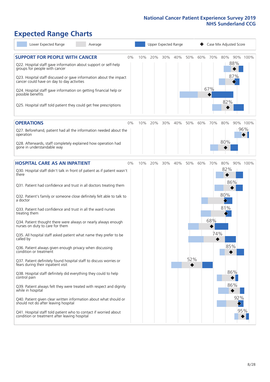### **Expected Range Charts**

| Lower Expected Range<br>Average                                                                                                                                                                                                                                                  |     |     | Upper Expected Range |     |            | Case Mix Adjusted Score       |
|----------------------------------------------------------------------------------------------------------------------------------------------------------------------------------------------------------------------------------------------------------------------------------|-----|-----|----------------------|-----|------------|-------------------------------|
| <b>SUPPORT FOR PEOPLE WITH CANCER</b><br>$0\%$<br>Q22. Hospital staff gave information about support or self-help<br>groups for people with cancer                                                                                                                               | 10% | 20% | 30%<br>40%           | 50% | 60%<br>70% | 80%<br>90% 100%<br>88%<br>87% |
| Q23. Hospital staff discussed or gave information about the impact<br>cancer could have on day to day activities<br>Q24. Hospital staff gave information on getting financial help or<br>possible benefits<br>Q25. Hospital staff told patient they could get free prescriptions |     |     |                      |     | 67%        | 82%                           |
|                                                                                                                                                                                                                                                                                  |     |     |                      |     |            |                               |
| <b>OPERATIONS</b><br>0%<br>Q27. Beforehand, patient had all the information needed about the<br>operation<br>Q28. Afterwards, staff completely explained how operation had                                                                                                       | 10% | 20% | 30%<br>40%           | 50% | 60%<br>70% | 80%<br>90% 100%<br>96%<br>80% |
| gone in understandable way                                                                                                                                                                                                                                                       |     |     |                      |     |            |                               |
| <b>HOSPITAL CARE AS AN INPATIENT</b><br>$0\%$<br>Q30. Hospital staff didn't talk in front of patient as if patient wasn't<br>there                                                                                                                                               | 10% | 20% | 30%<br>40%           | 50% | 60%<br>70% | 80%<br>90% 100%<br>82%        |
| Q31. Patient had confidence and trust in all doctors treating them<br>Q32. Patient's family or someone close definitely felt able to talk to                                                                                                                                     |     |     |                      |     |            | 86%<br>80%                    |
| a doctor<br>Q33. Patient had confidence and trust in all the ward nurses<br>treating them                                                                                                                                                                                        |     |     |                      |     |            | 81%                           |
| Q34. Patient thought there were always or nearly always enough<br>nurses on duty to care for them                                                                                                                                                                                |     |     |                      |     | 68%        |                               |
| Q35. All hospital staff asked patient what name they prefer to be<br>called by<br>Q36. Patient always given enough privacy when discussing                                                                                                                                       |     |     |                      |     |            | 74%<br>85%                    |
| condition or treatment<br>Q37. Patient definitely found hospital staff to discuss worries or<br>fears during their inpatient visit                                                                                                                                               |     |     |                      | 52% |            |                               |
| Q38. Hospital staff definitely did everything they could to help<br>control pain                                                                                                                                                                                                 |     |     |                      |     |            | 86%                           |
| Q39. Patient always felt they were treated with respect and dignity<br>while in hospital                                                                                                                                                                                         |     |     |                      |     |            | 86%                           |
| Q40. Patient given clear written information about what should or<br>should not do after leaving hospital                                                                                                                                                                        |     |     |                      |     |            | 92%<br>95%                    |
| Q41. Hospital staff told patient who to contact if worried about<br>condition or treatment after leaving hospital                                                                                                                                                                |     |     |                      |     |            |                               |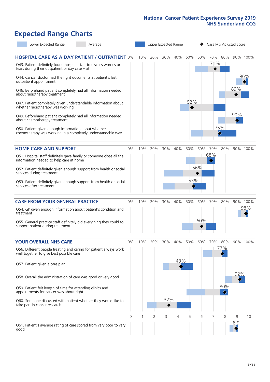## **Expected Range Charts**

| Lower Expected Range<br>Average                                                                                                                                                                                                                                                                                                                                                                                                                                                                                                                                                  |            |     |     | Upper Expected Range |                 |            |            | Case Mix Adjusted Score |                   |            |                 |
|----------------------------------------------------------------------------------------------------------------------------------------------------------------------------------------------------------------------------------------------------------------------------------------------------------------------------------------------------------------------------------------------------------------------------------------------------------------------------------------------------------------------------------------------------------------------------------|------------|-----|-----|----------------------|-----------------|------------|------------|-------------------------|-------------------|------------|-----------------|
| <b>HOSPITAL CARE AS A DAY PATIENT / OUTPATIENT 0%</b><br>Q43. Patient definitely found hospital staff to discuss worries or<br>fears during their outpatient or day case visit<br>Q44. Cancer doctor had the right documents at patient's last<br>outpatient appointment<br>Q46. Beforehand patient completely had all information needed<br>about radiotherapy treatment<br>Q47. Patient completely given understandable information about<br>whether radiotherapy was working<br>Q49. Beforehand patient completely had all information needed<br>about chemotherapy treatment |            | 10% | 20% | 30%                  | 40%             | 50%<br>52% | 60%        | 70%<br>71%              | 80%               | 89%<br>90% | 90% 100%<br>96% |
| Q50. Patient given enough information about whether<br>chemotherapy was working in a completely understandable way                                                                                                                                                                                                                                                                                                                                                                                                                                                               |            |     |     |                      |                 |            |            |                         | 75%               |            |                 |
| <b>HOME CARE AND SUPPORT</b><br>Q51. Hospital staff definitely gave family or someone close all the<br>information needed to help care at home<br>Q52. Patient definitely given enough support from health or social<br>services during treatment<br>Q53. Patient definitely given enough support from health or social<br>services after treatment                                                                                                                                                                                                                              | 0%         | 10% | 20% | 30%                  | 40%             | 50%<br>53% | 60%<br>56% | 70%<br>68%              | 80%               |            | 90% 100%        |
| <b>CARE FROM YOUR GENERAL PRACTICE</b><br>Q54. GP given enough information about patient's condition and<br>treatment<br>Q55. General practice staff definitely did everything they could to<br>support patient during treatment                                                                                                                                                                                                                                                                                                                                                 | 0%         | 10% | 20% | 30%                  | 40%             | 50%        | 60%<br>60% | 70%                     | 80%               |            | 90% 100%<br>98% |
| <b>YOUR OVERALL NHS CARE</b><br>Q56. Different people treating and caring for patient always work<br>well together to give best possible care<br>Q57. Patient given a care plan<br>Q58. Overall the administration of care was good or very good<br>Q59. Patient felt length of time for attending clinics and<br>appointments for cancer was about right<br>Q60. Someone discussed with patient whether they would like to<br>take part in cancer research                                                                                                                      | $0\%$<br>0 | 10% | 20% | 30%<br>32%           | 40%<br>43%<br>4 | 50%        | 60%        | 70%                     | 80%<br>77%<br>80% | 92%        | 90% 100%        |
| Q61. Patient's average rating of care scored from very poor to very<br>good                                                                                                                                                                                                                                                                                                                                                                                                                                                                                                      |            |     | 2   | 3                    |                 | 5          | 6          |                         | 8                 | 9<br>8.9   | 10              |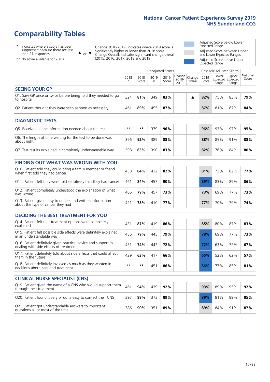### **Comparability Tables**

\* Indicates where a score has been suppressed because there are less than 21 responses.

\*\* No score available for 2018.

 $\triangle$  or  $\nabla$ 

Change 2018-2019: Indicates where 2019 score is significantly higher or lower than 2018 score Change Overall: Indicates significant change overall (2015, 2016, 2017, 2018 and 2019).

Adjusted Score below Lower Expected Range Adjusted Score between Upper and Lower Expected Ranges Adjusted Score above Upper Expected Range

|                                                                             |           |               | Unadjusted Scores |               |                                                  |         |               | Case Mix Adjusted Scores            |                |                   |
|-----------------------------------------------------------------------------|-----------|---------------|-------------------|---------------|--------------------------------------------------|---------|---------------|-------------------------------------|----------------|-------------------|
|                                                                             | 2018<br>n | 2018<br>Score | 2019<br>n.        | 2019<br>Score | $\sqrt{(\text{Change})}$ Change<br>2018-<br>2019 | Overall | 2019<br>Score | Lower<br>Expected Expected<br>Range | Upper<br>Range | National<br>Score |
| <b>SEEING YOUR GP</b>                                                       |           |               |                   |               |                                                  |         |               |                                     |                |                   |
| Q1. Saw GP once or twice before being told they needed to go<br>to hospital | 324       | 81%           | 349               | 83%           |                                                  |         | 82%           | 75%                                 | 83%            | 79%               |
| Q2. Patient thought they were seen as soon as necessary                     | 461       | 89%           | 455               | 87%           |                                                  |         | 87%           | 81%                                 | 87%            | 84%               |
| <b>DIAGNOSTIC TESTS</b>                                                     |           |               |                   |               |                                                  |         |               |                                     |                |                   |

| O5. Received all the information needed about the test                    | $***$ | **  | 379 | 96% |  | 96% | 93% | 97% | 95% |
|---------------------------------------------------------------------------|-------|-----|-----|-----|--|-----|-----|-----|-----|
| Q6. The length of time waiting for the test to be done was<br>about right | 396   | 92% | 389 | 88% |  | 88% | 85% | 91% | 88% |
| Q7. Test results explained in completely understandable way               | 398   | 83% | 390 | 83% |  | 82% | 76% | 84% | 80% |

| <b>FINDING OUT WHAT WAS WRONG WITH YOU</b>                                                      |                 |     |     |     |     |     |     |     |
|-------------------------------------------------------------------------------------------------|-----------------|-----|-----|-----|-----|-----|-----|-----|
| Q10. Patient told they could bring a family member or friend<br>when first told they had cancer | 438             | 84% | 432 | 82% | 81% | 72% | 82% | 77% |
| Q11. Patient felt they were told sensitively that they had cancer                               | 461             | 84% | 457 | 90% | 89% | 83% | 89% | 86% |
| Q12. Patient completely understood the explanation of what<br>was wrong                         | 466             | 79% | 457 | 73% | 73% | 69% | 77% | 73% |
| Q13. Patient given easy to understand written information<br>about the type of cancer they had  | 42 <sup>1</sup> | 78% | 410 | 77% | 77% | 70% | 79% | 74% |

| <b>DECIDING THE BEST TREATMENT FOR YOU</b>                                                              |      |     |                 |     |     |     |     |     |
|---------------------------------------------------------------------------------------------------------|------|-----|-----------------|-----|-----|-----|-----|-----|
| Q14. Patient felt that treatment options were completely<br>explained                                   | 431  | 87% | 419             | 86% | 85% | 80% | 87% | 83% |
| Q15. Patient felt possible side effects were definitely explained<br>in an understandable way           | 456  | 79% | 445             | 79% | 78% | 69% | 77% | 73% |
| Q16. Patient definitely given practical advice and support in<br>dealing with side effects of treatment | 451  | 74% | 442             | 72% | 72% | 63% | 72% | 67% |
| Q17. Patient definitely told about side effects that could affect<br>them in the future                 | 429  | 63% | 417             | 66% | 65% | 52% | 62% | 57% |
| Q18. Patient definitely involved as much as they wanted in<br>decisions about care and treatment        | $**$ | **  | 45 <sup>1</sup> | 86% | 86% | 77% | 85% | 81% |

| <b>CLINICAL NURSE SPECIALIST (CNS)</b>                                                    |     |     |     |     |                 |     |     |     |
|-------------------------------------------------------------------------------------------|-----|-----|-----|-----|-----------------|-----|-----|-----|
| Q19. Patient given the name of a CNS who would support them<br>through their treatment    | 461 | 94% | 439 | 92% | 93%             | 89% | 95% | 92% |
| Q20. Patient found it very or quite easy to contact their CNS                             | 397 | 88% | 373 | 89% | 89 <sup>%</sup> | 81% | 89% | 85% |
| Q21. Patient got understandable answers to important<br>questions all or most of the time | 386 | 90% | 351 | 89% | 89%             | 84% | 91% | 87% |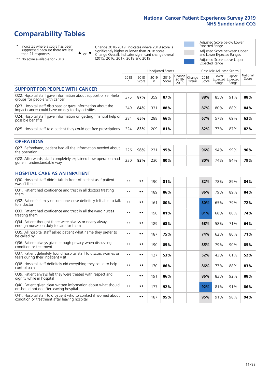### **Comparability Tables**

\* Indicates where a score has been suppressed because there are less than 21 responses.

\*\* No score available for 2018.

 $\triangle$  or  $\nabla$ 

Change 2018-2019: Indicates where 2019 score is significantly higher or lower than 2018 score Change Overall: Indicates significant change overall (2015, 2016, 2017, 2018 and 2019).

Adjusted Score below Lower Expected Range Adjusted Score between Upper and Lower Expected Ranges Adjusted Score above Upper Expected Range

|                                                                                                                   |              |               | <b>Unadjusted Scores</b> |               |                         |                   |               | Case Mix Adjusted Scores |                                     |                   |
|-------------------------------------------------------------------------------------------------------------------|--------------|---------------|--------------------------|---------------|-------------------------|-------------------|---------------|--------------------------|-------------------------------------|-------------------|
|                                                                                                                   | 2018<br>n    | 2018<br>Score | 2019<br>n.               | 2019<br>Score | Change<br>2018-<br>2019 | Change<br>Overall | 2019<br>Score | Lower<br>Range           | Upper<br>Expected Expected<br>Range | National<br>Score |
| <b>SUPPORT FOR PEOPLE WITH CANCER</b>                                                                             |              |               |                          |               |                         |                   |               |                          |                                     |                   |
| Q22. Hospital staff gave information about support or self-help<br>groups for people with cancer                  | 375          | 87%           | 359                      | 87%           |                         |                   | 88%           | 85%                      | 91%                                 | 88%               |
| Q23. Hospital staff discussed or gave information about the<br>impact cancer could have on day to day activities  | 349          | 84%           | 331                      | 88%           |                         |                   | 87%           | 80%                      | 88%                                 | 84%               |
| Q24. Hospital staff gave information on getting financial help or<br>possible benefits                            | 284          | 65%           | 288                      | 66%           |                         |                   | 67%           | 57%                      | 69%                                 | 63%               |
| Q25. Hospital staff told patient they could get free prescriptions                                                | 224          | 83%           | 209                      | 81%           |                         |                   | 82%           | 77%                      | 87%                                 | 82%               |
| <b>OPERATIONS</b>                                                                                                 |              |               |                          |               |                         |                   |               |                          |                                     |                   |
| Q27. Beforehand, patient had all the information needed about<br>the operation                                    | 226          | 98%           | 231                      | 95%           |                         |                   | 96%           | 94%                      | 99%                                 | 96%               |
| Q28. Afterwards, staff completely explained how operation had<br>gone in understandable way                       | 230          | 83%           | 230                      | 80%           |                         |                   | 80%           | 74%                      | 84%                                 | 79%               |
| <b>HOSPITAL CARE AS AN INPATIENT</b>                                                                              |              |               |                          |               |                         |                   |               |                          |                                     |                   |
| Q30. Hospital staff didn't talk in front of patient as if patient<br>wasn't there                                 | $\star\star$ | **            | 190                      | 81%           |                         |                   | 82%           | 78%                      | 89%                                 | 84%               |
| Q31. Patient had confidence and trust in all doctors treating<br>them                                             | $* *$        | **            | 189                      | 86%           |                         |                   | 86%           | 79%                      | 89%                                 | 84%               |
| Q32. Patient's family or someone close definitely felt able to talk<br>to a doctor                                | $\star\star$ | **            | 161                      | 80%           |                         |                   | 80%           | 65%                      | 79%                                 | 72%               |
| Q33. Patient had confidence and trust in all the ward nurses<br>treating them                                     | $***$        | **            | 190                      | 81%           |                         |                   | 81%           | 68%                      | 80%                                 | 74%               |
| Q34. Patient thought there were always or nearly always<br>enough nurses on duty to care for them                 | $***$        | **            | 189                      | 68%           |                         |                   | 68%           | 58%                      | 71%                                 | 64%               |
| Q35. All hospital staff asked patient what name they prefer to<br>be called by                                    | $\star\star$ | **            | 187                      | 75%           |                         |                   | 74%           | 62%                      | 80%                                 | 71%               |
| Q36. Patient always given enough privacy when discussing<br>condition or treatment                                | $\star\star$ | **            | 190                      | 85%           |                         |                   | 85%           | 79%                      | 90%                                 | 85%               |
| Q37. Patient definitely found hospital staff to discuss worries or<br>fears during their inpatient visit          | $\star\star$ | **            | 127                      | 53%           |                         |                   | 52%           | 43%                      | 61%                                 | 52%               |
| Q38. Hospital staff definitely did everything they could to help<br>control pain                                  | $\star\star$ | **            | 170                      | 86%           |                         |                   | 86%           | 77%                      | 88%                                 | 83%               |
| Q39. Patient always felt they were treated with respect and<br>dignity while in hospital                          | $\star\star$ | **            | 191                      | 86%           |                         |                   | 86%           | 83%                      | 92%                                 | 88%               |
| Q40. Patient given clear written information about what should<br>or should not do after leaving hospital         | $\star\star$ | **            | 177                      | 92%           |                         |                   | 92%           | 81%                      | 91%                                 | 86%               |
| Q41. Hospital staff told patient who to contact if worried about<br>condition or treatment after leaving hospital | $**$         | **            | 187                      | 95%           |                         |                   | 95%           | 91%                      | 98%                                 | 94%               |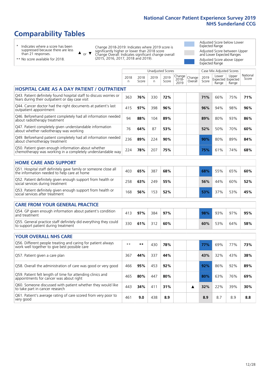### **Comparability Tables**

\* Indicates where a score has been suppressed because there are less than 21 responses.

\*\* No score available for 2018.

or  $\blacktriangledown$  $\blacktriangle$ 

Change 2018-2019: Indicates where 2019 score is significantly higher or lower than 2018 score Change Overall: Indicates significant change overall (2015, 2016, 2017, 2018 and 2019).

Adjusted Score below Lower Expected Range Adjusted Score between Upper and Lower Expected Ranges Adjusted Score above Upper Expected Range

|                                                                                                                       |           |               | Unadjusted Scores |               |                            |                   |               | Case Mix Adjusted Scores            |                |                   |
|-----------------------------------------------------------------------------------------------------------------------|-----------|---------------|-------------------|---------------|----------------------------|-------------------|---------------|-------------------------------------|----------------|-------------------|
|                                                                                                                       | 2018<br>n | 2018<br>Score | 2019<br>n         | 2019<br>Score | Change<br>$2018 -$<br>2019 | Change<br>Overall | 2019<br>Score | Lower<br>Expected Expected<br>Range | Upper<br>Range | National<br>Score |
| <b>HOSPITAL CARE AS A DAY PATIENT / OUTPATIENT</b>                                                                    |           |               |                   |               |                            |                   |               |                                     |                |                   |
| Q43. Patient definitely found hospital staff to discuss worries or<br>fears during their outpatient or day case visit | 363       | 76%           | 330               | 72%           |                            |                   | 71%           | 66%                                 | 75%            | 71%               |
| Q44. Cancer doctor had the right documents at patient's last<br>outpatient appointment                                | 415       | 97%           | 398               | 96%           |                            |                   | 96%           | 94%                                 | 98%            | 96%               |
| Q46. Beforehand patient completely had all information needed<br>about radiotherapy treatment                         | 94        | 88%           | 104               | 89%           |                            |                   | 89%           | 80%                                 | 93%            | 86%               |
| Q47. Patient completely given understandable information<br>about whether radiotherapy was working                    | 76        | 64%           | 87                | 53%           |                            |                   | 52%           | 50%                                 | 70%            | 60%               |
| Q49. Beforehand patient completely had all information needed<br>about chemotherapy treatment                         | 236       | 89%           | 224               | 90%           |                            |                   | 90%           | 80%                                 | 89%            | 84%               |
| Q50. Patient given enough information about whether<br>chemotherapy was working in a completely understandable way    | 224       | 78%           | 207               | 75%           |                            |                   | 75%           | 61%                                 | 74%            | 68%               |
| <b>HOME CARE AND SUPPORT</b>                                                                                          |           |               |                   |               |                            |                   |               |                                     |                |                   |
| Q51. Hospital staff definitely gave family or someone close all<br>the information needed to help care at home        | 403       | 65%           | 387               | 68%           |                            |                   | 68%           | 55%                                 | 65%            | 60%               |
| Q52. Patient definitely given enough support from health or<br>social services during treatment                       | 258       | 63%           | 249               | 55%           |                            |                   | 56%           | 44%                                 | 60%            | 52%               |
| Q53. Patient definitely given enough support from health or<br>social services after treatment                        | 168       | 56%           | 153               | 52%           |                            |                   | 53%           | 37%                                 | 53%            | 45%               |
| <b>CARE FROM YOUR GENERAL PRACTICE</b>                                                                                |           |               |                   |               |                            |                   |               |                                     |                |                   |
| Q54. GP given enough information about patient's condition<br>and treatment                                           | 413       | 97%           | 384               | 97%           |                            |                   | 98%           | 93%                                 | 97%            | 95%               |
| Q55. General practice staff definitely did everything they could<br>to support patient during treatment               | 330       | 61%           | 312               | 60%           |                            |                   | 60%           | 53%                                 | 64%            | 58%               |
| <b>YOUR OVERALL NHS CARE</b>                                                                                          |           |               |                   |               |                            |                   |               |                                     |                |                   |
| Q56. Different people treating and caring for patient always<br>work well together to give best possible care         | $***$     | $***$         | 430               | 78%           |                            |                   | 77%           | 69%                                 | 77%            | 73%               |
| Q57. Patient given a care plan                                                                                        | 367       | 44%           | 337               | 44%           |                            |                   | 43%           | 32%                                 | 43%            | 38%               |
| Q58. Overall the administration of care was good or very good                                                         | 466       | 95%           | 453               | 92%           |                            |                   | 92%           | 86%                                 | 92%            | 89%               |
| Q59. Patient felt length of time for attending clinics and<br>appointments for cancer was about right                 | 465       | 80%           | 447               | 80%           |                            |                   | 80%           | 63%                                 | 76%            | 69%               |
| Q60. Someone discussed with patient whether they would like<br>to take part in cancer research                        | 443       | 34%           | 411               | 31%           |                            | ▲                 | 32%           | 22%                                 | 39%            | 30%               |
|                                                                                                                       |           |               |                   |               |                            |                   |               |                                     |                |                   |

Q61. Patient's average rating of care scored from very poor to very good <sup>461</sup> **9.0** <sup>438</sup> **8.9 8.9** 8.7 8.9 **8.8**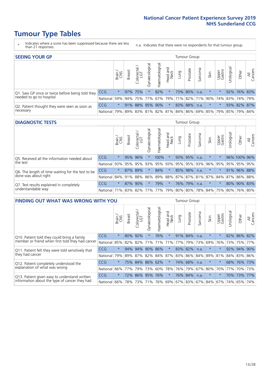### **Tumour Type Tables**

- \* Indicates where a score has been suppressed because there are less than 21 responses.
- n.a. Indicates that there were no respondents for that tumour group.

| <b>SEEING YOUR GP</b>                           |                                                                  |              |               |                   |                   |               |                  |      | Tumour Group |         |                                                 |                 |            |             |                |
|-------------------------------------------------|------------------------------------------------------------------|--------------|---------------|-------------------|-------------------|---------------|------------------|------|--------------|---------|-------------------------------------------------|-----------------|------------|-------------|----------------|
|                                                 |                                                                  | Brain<br>CNS | <b>Breast</b> | Colorectal<br>LGT | ত<br>Gynaecologic | Haematologica | Head and<br>Neck | Dung | Prostate     | Sarcoma | Skin                                            | Upper<br>Gastro | Urological | Other       | All<br>Cancers |
| Q1. Saw GP once or twice before being told they | <b>CCG</b>                                                       | $\star$      |               | 97% 75%           |                   | 82%           | $\star$          |      | 73% 80%      | n.a.    | $\star$                                         | $\star$         |            | 92% 76% 83% |                |
| needed to go to hospital                        | National 59% 94% 75% 77% 67% 79% 71% 82% 71% 90% 74% 83% 74% 79% |              |               |                   |                   |               |                  |      |              |         |                                                 |                 |            |             |                |
| Q2. Patient thought they were seen as soon as   | <b>CCG</b>                                                       | $\star$      |               | 91% 88% 95% 90%   |                   |               | $\ast$           |      | 83% 88%      | n.a.    | $\star$                                         | $\star$         |            | 93% 82% 87% |                |
| necessary                                       | National                                                         | 79%          |               |                   |                   |               |                  |      |              |         | 89% 83% 81% 82% 81% 84% 86% 69% 85% 79% 85% 79% |                 |            |             | <u>84%</u>     |

#### **DIAGNOSTIC TESTS** Tumour Group

|                                                   |                                                                  | Brain   | <b>Breast</b> | Colorectal<br>LGT | Gynaecological | ᠊ᢛ<br>aematologic | Head and<br>Neck | Lung | Prostate | Sarcoma | Skin    | Upper<br>Gastro                     | rological | Other        | All<br>Cancers |
|---------------------------------------------------|------------------------------------------------------------------|---------|---------------|-------------------|----------------|-------------------|------------------|------|----------|---------|---------|-------------------------------------|-----------|--------------|----------------|
| Q5. Received all the information needed about     | <b>CCG</b>                                                       | $\star$ |               | 95% 96%           |                | 100%              | $\ast$           |      | 93% 95%  | n.a.    | $\star$ |                                     |           | 96% 100% 96% |                |
| the test                                          | National                                                         | 93%     |               | 95% 95%           | 93%            | 95%               |                  |      |          |         |         | 93%   95%   95%   93%   96%   95%   | 95%       | 95%          | 95%            |
| Q6. The length of time waiting for the test to be | <b>CCG</b>                                                       | $\star$ |               | 87% 89%           |                | 84%               | $\star$          |      | 85% 98%  | n.a.    | $\star$ |                                     | 91%       | 96% 88%      |                |
| done was about right                              | National 84% 91% 88% 86%                                         |         |               |                   |                |                   |                  |      |          |         |         | 89% 88% 87% 87% 81% 87% 84% 87% 86% |           |              | 88%            |
| Q7. Test results explained in completely          | <b>CCG</b>                                                       | $\star$ |               | 87% 90%           |                | 79%               | $^\star$         |      | 76% 79%  | n.a.    | $\star$ |                                     |           | 80% 90% 83%  |                |
| understandable way                                | National 71% 83% 82% 77% 77% 79% 80% 80% 78% 84% 75% 80% 76% 80% |         |               |                   |                |                   |                  |      |          |         |         |                                     |           |              |                |

| <b>FINDING OUT WHAT WAS WRONG WITH YOU</b>        |            |         |               |                             |                     |                   |                  |             | <b>Tumour Group</b> |         |         |                     |            |         |                |
|---------------------------------------------------|------------|---------|---------------|-----------------------------|---------------------|-------------------|------------------|-------------|---------------------|---------|---------|---------------------|------------|---------|----------------|
|                                                   |            | Brain   | <b>Breast</b> | olorectal.<br>LGT<br>$\cup$ | Gynaecological      | aematologica<br>Ĩ | Head and<br>Neck | Lung        | Prostate            | Sarcoma | Skin    | Upper<br>Gastro     | Urological | Other   | All<br>Cancers |
| Q10. Patient told they could bring a family       | CCG        | $\star$ | 80%           | 92%                         |                     | 76%               | $\star$          | 91% 84%     |                     | n.a.    | $\star$ | $\star$             | 82%        | 86%     | 82%            |
| member or friend when first told they had cancer  | National   | 85%     | 82%           | 82%                         | 71%                 | 71%               | 71%              | 77%         | 79%                 | 73%     | 69%     | 76%                 | 73%        | 75%     | 77%            |
| Q11. Patient felt they were told sensitively that | CCG        | $\star$ | 94%           | 94%                         | 90%                 | 86%               | $\star$          | 83% 82%     |                     | n.a.    | $\ast$  | $\star$             | 92%        | 94%     | 90%            |
| they had cancer                                   | National   | 79%     |               |                             | 89% 87% 82% 84% 87% |                   |                  |             |                     |         |         | 83% 86% 84% 89% 81% |            | 84% 83% | 86%            |
| Q12. Patient completely understood the            | <b>CCG</b> | $\star$ |               | 75% 84%                     | 86%                 | 62%               | $\star$          |             | 74% 68%             | n.a.    |         |                     | 68%        | 76%     | 73%            |
| explanation of what was wrong                     | National   | 66%     | 77%           | 79%                         | 73%                 | 60%               |                  | 78% 76% 79% |                     | 67%     | 80%     | 70%                 | 77%        | 70%     | 73%            |
| Q13. Patient given easy to understand written     | CCG        | $\star$ | 72%           | 86%                         | 95%                 | 76%               | $\star$          |             | 76% 84%             | n.a.    | $\star$ | $\star$             |            | 70% 73% | 77%            |
| information about the type of cancer they had     | National   | 66%     | 78%           | 73%                         | 71%                 | 76%               |                  | 69% 67% 83% |                     |         | 67% 84% | 67%                 | 74%        | 65%     | 74%            |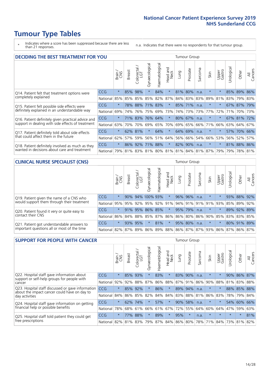### **Tumour Type Tables**

- \* Indicates where a score has been suppressed because there are less than 21 responses.
- n.a. Indicates that there were no respondents for that tumour group.

| <b>DECIDING THE BEST TREATMENT FOR YOU</b>         |            |         |               |                       |                |                |                        |      | <b>Tumour Group</b> |         |                                     |                 |            |             |                |
|----------------------------------------------------|------------|---------|---------------|-----------------------|----------------|----------------|------------------------|------|---------------------|---------|-------------------------------------|-----------------|------------|-------------|----------------|
|                                                    |            | Brain   | <b>Breast</b> | olorectal<br>LGT<br>Ũ | Gynaecological | Haematological | ad and<br>Neck<br>Head | Lung | Prostate            | Sarcoma | Skin                                | Upper<br>Gastro | Jrological | Other       | All<br>Cancers |
| Q14. Patient felt that treatment options were      | CCG        | $\star$ | 85%           | 98%                   | $\star$        | 84%            | $\star$                |      | 81% 80%             | n.a.    | $\ast$                              | $\star$         |            | 85% 89%     | 86%            |
| completely explained                               | National   | 85%     | 85%           | 85%                   | 85%            | 82%            | 87%                    |      | 84% 83%             | 83%     | 89%                                 | 81%             |            | 83% 79% 83% |                |
| Q15. Patient felt possible side effects were       | <b>CCG</b> | $\star$ | 78%           | 88%                   | 71%            | 83%            | $\star$                |      | 85% 71%             | n.a.    | $\star$                             | $\star$         |            | 67% 87%     | 79%            |
| definitely explained in an understandable way      | National   | 69%     | 74%           | 76%                   | 75%            | 69%            | 73%                    |      | 74% 73%             | 73%     | 77%                                 | 72%             | 71%        | 70%         | 73%            |
| Q16. Patient definitely given practical advice and | <b>CCG</b> | $\star$ | <b>71%</b>    | 83%                   | 76%            | 64%            | $\star$                |      | 80% 67%             | n.a.    |                                     | $\star$         |            | 67% 81% 72% |                |
| support in dealing with side effects of treatment  | National   | 63%     | 70%           | 70%                   | 69%            | 65%            | 70%                    |      | 69% 65%             | 66%     | 71%                                 | 66%             |            | 63% 64%     | 67%            |
| Q17. Patient definitely told about side effects    | CCG        | $\star$ | 62%           | 81%                   | $\star$        | 64%            | $\star$                |      | 64% 69%             | n.a.    | $\star$                             | $\star$         |            | 57% 70%     | 66%            |
| that could affect them in the future               | National   | 62%     | 57%           | 59%                   | 56%            | 51%            | 64%                    |      | 56% 66%             | 54%     | 66%                                 | 53%             | 56%        | 52%         | 57%            |
| Q18. Patient definitely involved as much as they   | CCG        | $\star$ | $86\%$        | 92%                   |                | 71% 88%        | $\ast$                 |      | 82% 90%             | n.a.    | $\ast$                              | $\star$         |            | 81% 88% 86% |                |
| wanted in decisions about care and treatment       | National   | 79%     |               |                       |                |                |                        |      |                     |         | 81% 83% 81% 80% 81% 81% 84% 81% 87% | 79%             |            | 79% 78% 81% |                |

#### **CLINICAL NURSE SPECIALIST (CNS)** Tumour Group

|                                             |            | Brain   | Breast    | olorectal<br>LGT<br>U | $\sigma$<br>aecologic<br>Š                  | ক<br>aematologic<br>工 | Head and<br>Neck | Lung | Prostate | Sarcoma | Skin    | Upper<br>Gastro                     | σ<br>rologica | Other       | All<br>ancers<br>$\cup$ |
|---------------------------------------------|------------|---------|-----------|-----------------------|---------------------------------------------|-----------------------|------------------|------|----------|---------|---------|-------------------------------------|---------------|-------------|-------------------------|
| Q19. Patient given the name of a CNS who    | <b>CCG</b> | $\star$ |           |                       | 90% 94% 100% 93%                            |                       | $\star$          |      | 96% 96%  | n.a.    | $\star$ |                                     |               | 93% 88% 92% |                         |
| would support them through their treatment  | National   | 95%     |           |                       | 95% 92% 95% 92% 91% 94% 91% 91% 91% 92% 93% |                       |                  |      |          |         |         |                                     | 85%           | 89%         | 92%                     |
| Q20. Patient found it very or quite easy to | <b>CCG</b> | $\star$ |           |                       | 91% 95% 86% 85%                             |                       | $\star$          |      | 95% 79%  | n.a.    | $\star$ | $\star$                             |               | 89% 92% 89% |                         |
| contact their CNS                           | National   |         |           |                       | 86% 84% 88% 85% 87% 86% 86% 80% 86% 90% 85% |                       |                  |      |          |         |         |                                     |               | 83% 83%     | 85%                     |
| Q21. Patient got understandable answers to  | CCG        | $\star$ | 93%       | 95%                   |                                             | 81%                   | $\ast$           |      | 95% 80%  | n.a.    | $\star$ | $\star$                             |               | 80% 91%     | 89%                     |
| important questions all or most of the time | National I |         | 82%   87% | 89%                   | 86%                                         |                       |                  |      |          |         |         | 89% 88% 86% 87% 87% 93% 86% 87% 86% |               |             | 87%                     |

| <b>SUPPORT FOR PEOPLE WITH CANCER</b>                                                             |            |         |               |            |                |                |                         |      | <b>Tumour Group</b> |         |         |                 |            |          |                |
|---------------------------------------------------------------------------------------------------|------------|---------|---------------|------------|----------------|----------------|-------------------------|------|---------------------|---------|---------|-----------------|------------|----------|----------------|
|                                                                                                   |            | Brain   | <b>Breast</b> | Colorectal | Gynaecological | Haematological | ead and<br>Neck<br>Head | Lung | Prostate            | Sarcoma | Skin    | Upper<br>Gastro | Jrological | Other    | All<br>Cancers |
| Q22. Hospital staff gave information about<br>support or self-help groups for people with         | <b>CCG</b> | $\star$ | 85%           | 93%        | $\star$        | 83%            | $\star$                 | 83%  | 90%                 | n.a.    | $\star$ | $\star$         | 90%        | 86%      | 87%            |
| cancer                                                                                            | National   | 92%     | 92%           | 88%        | 87%            | 86%            | 88%                     |      | 87% 91%             | 86%     | 90%     | 88%             | 81%        | 83%      | 88%            |
| Q23. Hospital staff discussed or gave information<br>about the impact cancer could have on day to | CCG        | $\star$ | 85%           | 92%        | $\star$        | 86%            | $\star$                 |      | 89% 94%             | n.a.    | $\star$ | $\star$         | 88%        | 85%      | 88%            |
| day activities                                                                                    | National   | 84%     | 86%           | 85%        | 82%            | 84%            | 84%                     | 83%  | 88%                 | 81%     | 86%     | 83%             | 78%        | 79%      | 84%            |
| Q24. Hospital staff gave information on getting                                                   | CCG        | $\star$ | 62%           | 74%        |                | 57%            | $\ast$                  | 90%  | 58%                 | n.a.    | $\star$ | $\star$         |            | 54% 60%  | 66%            |
| financial help or possible benefits                                                               | National   | 78%     | 68%           | 61%        | 66%            | 61%            | 67%                     | 72%  | 55%                 | 64%     | 60%     | 64%             | 47%        | 59%      | 63%            |
| Q25. Hospital staff told patient they could get                                                   | CCG        | $\star$ | 77%           | 88%        | $\star$        | 89%            | $^\star$                | 95%  | $\star$             | n.a.    | $\star$ | $\star$         | $\star$    | $^\star$ | 81%            |
| free prescriptions                                                                                | National   | 82%     |               | 81% 83%    | 79%            |                | 87% 84% 86% 80%         |      |                     | 78%     | 71%     | 84%             | 73%        | 81%      | 82%            |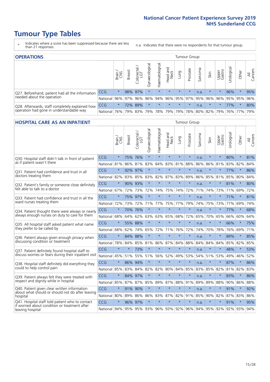### **Tumour Type Tables**

- \* Indicates where a score has been suppressed because there are less than 21 responses.
- n.a. Indicates that there were no respondents for that tumour group.

| <b>OPERATIONS</b>                                |            |         |               |                             |                       |                |                         |         | Tumour Group |         |                 |                 |                       |         |                |
|--------------------------------------------------|------------|---------|---------------|-----------------------------|-----------------------|----------------|-------------------------|---------|--------------|---------|-----------------|-----------------|-----------------------|---------|----------------|
|                                                  |            | Brain   | <b>Breast</b> | olorectal.<br>LGT<br>$\cup$ | ক<br>haecologic<br>δħ | Haematological | Head and<br>Neck        | Fung    | Prostate     | Sarcoma | Skin            | Upper<br>Gastro | $\sigma$<br>Jrologica | Other   | All<br>Cancers |
| Q27. Beforehand, patient had all the information | <b>CCG</b> | $\star$ |               | 98% 97%                     | $\star$               | $\star$        | $\star$                 | $\star$ | $\star$      | n.a.    | $\star$         | $\star$         | 96%                   | $\ast$  | 95%            |
| needed about the operation                       | National   | 96%     | 97%           | 96%                         | 96%                   |                | 94% 96% 95% 97% 95% 96% |         |              |         |                 | $96\%$          |                       | 95% 95% | 96%            |
| Q28. Afterwards, staff completely explained how  | <b>CCG</b> | $\star$ |               | 72% 89%                     | $\star$               |                | $\star$                 | $\star$ | $\star$      | n.a.    | $\star$         | $\star$         | 77%                   | $\star$ | 80%            |
| operation had gone in understandable way         | National   | 76%     |               | 79% 83%                     | 79%                   |                | 78% 79%                 |         |              |         | 79% 78% 80% 82% | 79%             |                       | 76% 77% | 79%            |

#### **HOSPITAL CARE AS AN INPATIENT** Tumour Group

|                                                                                                   |          | Brain   | Breast  | $\overline{\phantom{0}}$<br>Colorectal /<br>LGT | Gynaecological | Haematological          | Head and<br><b>Neck</b> | Lung    | Prostate | Sarcoma | Skin    | Upper<br>Gastro | Urological | Other   | All<br>Cancers |
|---------------------------------------------------------------------------------------------------|----------|---------|---------|-------------------------------------------------|----------------|-------------------------|-------------------------|---------|----------|---------|---------|-----------------|------------|---------|----------------|
| Q30. Hospital staff didn't talk in front of patient                                               | CCG      | $\star$ | 75%     | 76%                                             | $\star$        | $\star$                 | $\star$                 | $\star$ | $\star$  | n.a.    | $\star$ | $\star$         | 80%        | $\star$ | 81%            |
| as if patient wasn't there                                                                        | National | 81%     | 86%     | 81%                                             | 83%            | 84%                     | 83%                     | 81%     | 88%      | 86%     | 86%     | 81%             | 83%        | 82%     | 84%            |
| Q31. Patient had confidence and trust in all                                                      | CCG      | $\star$ |         | 92% 97%                                         | $\star$        | $\star$                 | $\star$                 | $\star$ | $\star$  | n.a.    | $\star$ | $\star$         | 77%        | $\star$ | 86%            |
| doctors treating them                                                                             | National | 82%     |         | 83% 85%                                         | 83%            | 82%                     |                         | 87% 83% | 89%      | 86%     |         | 85% 81%         | 85%        | 80%     | 84%            |
| Q32. Patient's family or someone close definitely                                                 | CCG      | $\star$ | 90%     | 93%                                             | $\star$        | $\star$                 | $\star$                 | $\star$ | $\star$  | n.a.    | $\star$ |                 | 81%        | $\star$ | 80%            |
| felt able to talk to a doctor                                                                     | National | 67%     | 72%     | 73%                                             | 72%            | 74%                     | 75%                     | 74%     | 72%      | 71%     | 74%     | 73%             | 71%        | 69%     | 72%            |
| Q33. Patient had confidence and trust in all the<br>ward nurses treating them                     | CCG      | $\star$ | 75%     | 97%                                             | $\star$        | $\star$                 | $\star$                 | $\star$ | $\star$  | n.a.    | $\star$ | $\star$         | 71%        | $\star$ | 81%            |
|                                                                                                   | National | 72%     | 73%     | 72%                                             | 71%            | 77%                     |                         | 75% 77% | 79%      | 74%     | 75%     | 73%             | 77%        | 69%     | 74%            |
| Q34. Patient thought there were always or nearly<br>always enough nurses on duty to care for them | CCG      | $\star$ | 70%     | 76%                                             | $\star$        | $\star$                 | $\star$                 | $\star$ | $\star$  | n.a.    | $\star$ | $\star$         | 77%        | $\star$ | 68%            |
|                                                                                                   | National | 68%     | 64%     | 62%                                             | 63%            | 63%                     | 65%                     | 68%     | 72%      | 65%     | 70%     | 65%             | 66%        | 60%     | 64%            |
| Q35. All hospital staff asked patient what name<br>they prefer to be called by                    | CCG      | $\star$ | 55%     | 88%                                             | $\star$        | $\star$                 | $\star$                 | $\star$ | $\star$  | n.a.    | $\star$ | $\star$         | 66%        | $\star$ | 75%            |
|                                                                                                   | National | 68%     | 62%     | 74%                                             | 65%            | 72%                     |                         | 71% 76% | 72%      | 74%     | 70%     | 78%             | 76%        | 69%     | 71%            |
| Q36. Patient always given enough privacy when                                                     | CCG      | $\star$ | 84%     | 88%                                             | $\star$        | $\star$                 | $\star$                 | $\star$ | $\star$  | n.a.    | $\star$ | $\star$         | 89%        | $\star$ | 85%            |
| discussing condition or treatment                                                                 | National | 78%     | 84%     | 85%                                             | 81%            | 86%                     |                         | 87% 84% | 88%      | 84%     | 84%     | 84%             | 85%        | 82%     | 85%            |
| Q37. Patient definitely found hospital staff to                                                   | CCG      | $\star$ | $\star$ | 73%                                             | $\star$        | $\star$                 | $\star$                 | $\star$ | $\star$  | n.a.    | $\star$ | $\star$         | 48%        | $\star$ | 53%            |
| discuss worries or fears during their inpatient visit                                             | National | 45%     | 51%     | 55%                                             | 51%            | 56%                     |                         | 52% 49% | 53%      | 54%     |         | 51% 53%         | 49%        | 46%     | 52%            |
| Q38. Hospital staff definitely did everything they                                                | CCG      | $\star$ | 86%     | 94%                                             | $\star$        | $\star$                 | $\star$                 | $\star$ | $\star$  | n.a.    | $\star$ | $\star$         | 87%        | $\star$ | 86%            |
| could to help control pain                                                                        | National | 85%     | 83%     | 84%                                             | 82%            | 82%                     | 80%                     | 84%     | 85%      | 83%     | 85%     | 82%             | 81%        | 82%     | 83%            |
| Q39. Patient always felt they were treated with                                                   | CCG      | $\star$ | 84% 97% |                                                 | $\star$        | $\star$                 | $\star$                 | $\star$ | $\star$  | n.a.    | $\star$ |                 | 83%        | $\star$ | 86%            |
| respect and dignity while in hospital                                                             | National | 85%     | 87%     | 87%                                             | 85%            | 89%                     | 87%                     | 88%     | 91%      | 89%     | 89%     | 88%             | $90\%$     | 86%     | 88%            |
| Q40. Patient given clear written information<br>about what should or should not do after leaving  | CCG      | $\star$ | 91%     | 90%                                             | $\star$        | $\star$                 | $\star$                 | $\star$ | $\star$  | n.a.    | $\star$ | $\star$         | 91%        | $\star$ | 92%            |
| hospital                                                                                          | National | 80%     | 89%     | 86%                                             | 86%            | 83%                     |                         | 87% 82% | 91%      | 85%     |         | 90% 82%         | 87%        | 83%     | 86%            |
| Q41. Hospital staff told patient who to contact<br>if worried about condition or treatment after  | CCG      | $\star$ | 96%     | 97%                                             | $\star$        | $\star$                 | $\star$                 | $\star$ | $\star$  | n.a.    | $\star$ | $\star$         | 91%        | $\star$ | 95%            |
| leaving hospital                                                                                  | National | 94%     |         |                                                 |                | 95% 95% 93% 96% 93% 92% |                         |         | 96%      | 94%     |         | 95% 92%         |            | 92% 93% | 94%            |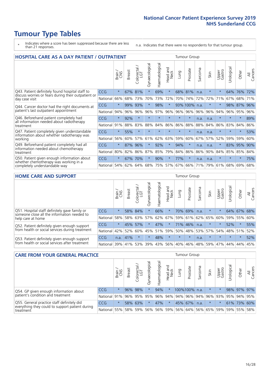### **Tumour Type Tables**

- \* Indicates where a score has been suppressed because there are less than 21 responses.
- n.a. Indicates that there were no respondents for that tumour group.

| <b>HOSPITAL CARE AS A DAY PATIENT / OUTPATIENT</b>                                                                    |            |         |               |                 |                |                |                                | <b>Tumour Group</b> |          |         |         |                 |            |         |                |  |
|-----------------------------------------------------------------------------------------------------------------------|------------|---------|---------------|-----------------|----------------|----------------|--------------------------------|---------------------|----------|---------|---------|-----------------|------------|---------|----------------|--|
|                                                                                                                       |            | Brain   | <b>Breast</b> | ╮<br>Colorectal | Gynaecological | Haematological | <b>Bad and</b><br>Neck<br>Head | Lung                | Prostate | Sarcoma | Skin    | Upper<br>Gastro | Urological | Other   | All<br>Cancers |  |
| Q43. Patient definitely found hospital staff to                                                                       | CCG        | $\star$ | 67%           | 81%             | $\star$        | 69%            | $\star$                        | 68%                 | 81%      | n.a.    | $\star$ | $\star$         | 64%        | 76%     | 72%            |  |
| discuss worries or fears during their outpatient or<br>day case visit                                                 | National   | 66%     | 68%           | 73%             | 70%            | 73%            | 72%                            | 70%                 | 74%      | 72%     | 72%     | 71%             | 67%        | 68%     | 71%            |  |
| Q44. Cancer doctor had the right documents at<br>patient's last outpatient appointment                                | CCG        | $\star$ | 99%           | 93%             | $\star$        | 98%            | $\star$                        |                     | 93% 100% | n.a.    |         |                 | 98%        | 87%     | 96%            |  |
|                                                                                                                       | National   | 94%     | 96%           | 96%             | 96%            | 97%            | 96%                            | 96%                 | 96%      | 96%     | 96%     | 94%             | 96%        | 95%     | 96%            |  |
| Q46. Beforehand patient completely had                                                                                | <b>CCG</b> | $\star$ | 92%           | $\star$         | $\star$        |                | $\star$                        | $\star$             | $\star$  | n.a.    | n.a.    | $\star$         | $\star$    | $\ast$  | 89%            |  |
| all information needed about radiotherapy<br>treatment                                                                | National   | 91%     | 88%           | 83%             | 88%            | 84%            | 86%                            | 86%                 | 88%      | 88%     | 84%     | 86%             | 83%        | 84%     | 86%            |  |
| Q47. Patient completely given understandable                                                                          | CCG        | $\star$ | 55%           | $\star$         |                |                | $\star$                        | $\star$             | $\star$  | n.a.    | n.a.    | $\star$         | $\star$    | $\ast$  | 53%            |  |
| information about whether radiotherapy was<br>working                                                                 | National   | 56%     | 60%           | 57%             | 61%            | 62%            | 63%                            | 59%                 | 60%      | 67%     | 57%     | 52%             | 59%        | 59%     | 60%            |  |
| Q49. Beforehand patient completely had all                                                                            | <b>CCG</b> | $\star$ | 87%           | 96%             | $\star$        | 92%            | $\star$                        | 94%                 | $\star$  | n.a.    | n.a.    |                 | 83%        | 95%     | 90%            |  |
| information needed about chemotherapy<br>treatment                                                                    | National   | 80%     | 82%           | 86%             | 87%            | 85%            | 79%                            | 84%                 | 86%      | 86%     | 90%     | 84%             | 85%        | 85%     | 84%            |  |
| Q50. Patient given enough information about<br>whether chemotherapy was working in a<br>completely understandable way | <b>CCG</b> | $\star$ | 67%           | 70%             | $\star$        | 90%            | $\ast$                         | 77%                 | $\star$  | n.a.    | n.a.    | $\star$         | $\star$    | $\star$ | 75%            |  |
|                                                                                                                       | National   | 54%     | 62%           | 64%             | 68%            | 75%            |                                | 57% 67%             | 66%      | 71%     | 79%     | 61%             | 68%        | 69%     | 68%            |  |

#### **HOME CARE AND SUPPORT** Tumour Group

|                                                                                                                   |            | Brain   | <b>Breast</b> | Colorectal<br>LGT | $\overline{\sigma}$<br>Gynaecologic | Haematological | Head and<br>Neck | <b>Lung</b>         | Prostate | Sarcoma | Skin        | Upper<br>Gastro | Urological | Other   | All<br>Cancers |
|-------------------------------------------------------------------------------------------------------------------|------------|---------|---------------|-------------------|-------------------------------------|----------------|------------------|---------------------|----------|---------|-------------|-----------------|------------|---------|----------------|
| Q51. Hospital staff definitely gave family or<br>someone close all the information needed to<br>help care at home | <b>CCG</b> | $\star$ |               | 58% 84%           | $\star$                             | 66%            | $\star$          | 70%                 | 69%      | n.a.    | $\star$     | $\star$         |            | 64% 67% | 68%            |
|                                                                                                                   | National   | 58%     |               | 58% 63%           | 57%                                 | 62%            |                  | 67% 59% 61% 62% 65% |          |         |             | 60%             | 59%        | 55%     | 60%            |
| Q52. Patient definitely given enough support<br>from health or social services during treatment                   | <b>CCG</b> | $\star$ | 45% 57%       |                   | $\star$                             | 47%            | $\star$          | 71% 46%             |          | n.a.    | $\star$     | $\star$         | 52%        | $\star$ | 55%            |
|                                                                                                                   | National   | 42%     | 52%           | 60%               |                                     |                | 45% 51% 59%      | 50%                 |          |         | 48% 53% 57% | 54%             | 48% 51%    |         | 52%            |
| Q53. Patient definitely given enough support<br>from health or social services after treatment                    | <b>CCG</b> | n.a.    | 41%           |                   | $\star$                             | 48%            | $\star$          | $\star$             | $\star$  | n.a.    | $\star$     | $\star$         | $\star$    | $\star$ | 52%            |
|                                                                                                                   | National l | 39%     | 41% 53%       |                   | 39%                                 | $ 43\% $       | 56%              | 40%                 | 46%      |         | 48% 59%     | 47%             | 44%        | 44%     | 45%            |

| <b>CARE FROM YOUR GENERAL PRACTICE</b>                                                                     |              |         |               |                        |               |                | <b>Tumour Group</b> |      |                                         |         |         |                 |                       |             |                |
|------------------------------------------------------------------------------------------------------------|--------------|---------|---------------|------------------------|---------------|----------------|---------------------|------|-----------------------------------------|---------|---------|-----------------|-----------------------|-------------|----------------|
|                                                                                                            |              | Brain,  | <b>Breast</b> | ╮<br>Colorectal<br>LGT | Gynaecologica | Haematological | Head and<br>Neck    | Lung | Prostate                                | Sarcoma | Skin    | Upper<br>Gastro | $\sigma$<br>Urologica | Other       | All<br>Cancers |
| Q54. GP given enough information about<br>patient's condition and treatment                                | CCG          | $\star$ |               | 96% 98%                |               | 94%            | $\star$             |      | 100%100%                                | n.a.    | $\star$ |                 |                       | 98% 97% 97% |                |
|                                                                                                            | National 91% |         |               |                        | 96% 95% 95%   |                |                     |      | 96% 94% 94% 96% 94% 96% 93% 95% 94% 95% |         |         |                 |                       |             |                |
| Q55. General practice staff definitely did<br>everything they could to support patient during<br>treatment | <b>CCG</b>   | $\star$ |               | 58% 63%                |               | 47%            | $\star$             |      | 45% 67%                                 | n.a.    | $\star$ |                 |                       | 61% 73% 60% |                |
|                                                                                                            | National 55% |         |               | 58% 59%                | 56%           |                |                     |      | 56% 59% 56% 64% 56% 65% 59%             |         |         |                 |                       | 59% 55% 58% |                |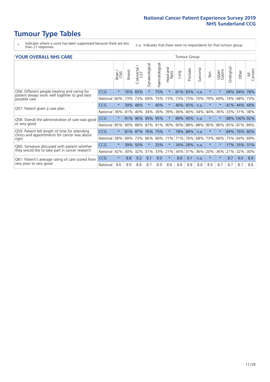### **Tumour Type Tables**

- \* Indicates where a score has been suppressed because there are less than 21 responses.
- n.a. Indicates that there were no respondents for that tumour group.

#### **YOUR OVERALL NHS CARE** THE CONSTRUCTION OF THE THROUP GROUP TUMOUR GROUP

| <u>UUN UTENTEE ITIIJ GANE</u>                                                                   |            |              |               |                       |                |                |                                 |         |          |                      |          |                 |                            |              |                |
|-------------------------------------------------------------------------------------------------|------------|--------------|---------------|-----------------------|----------------|----------------|---------------------------------|---------|----------|----------------------|----------|-----------------|----------------------------|--------------|----------------|
|                                                                                                 |            | Brain<br>CNS | <b>Breast</b> | olorectal<br>LGT<br>Û | Gynaecological | Haematological | <b>Bad and<br/>Neck</b><br>Head | Lung    | Prostate | arcoma<br>$\sqrt{ }$ | Skin     | Upper<br>Gastro | $\overline{c}$<br>Urologia | Other        | All<br>Cancers |
| Q56. Different people treating and caring for                                                   | <b>CCG</b> | $\star$      | 76%           | 83%                   |                | 75%            | $\star$                         | 81%     | 83%      | n.a.                 | $\star$  |                 | 68%                        | 84%          | 78%            |
| patient always work well together to give best<br>possible care                                 | National   | 60%          |               | 73% 73%               | 69%            | 75%            | 73%                             |         | 73% 75%  | 70%                  | 79%      | 69%             | 74%                        | 68%          | 73%            |
| Q57. Patient given a care plan                                                                  | <b>CCG</b> | $\star$      | 39%           | 48%                   |                | 40%            | $\star$                         | 46% 45% |          | n.a.                 | $\ast$   | $\star$         | 41%                        | 44% 44%      |                |
|                                                                                                 | National   | 36%          | 41%           | 40%                   | 34%            | 36%            | 39%                             | 36%     | 40%      | 34%                  | 44%      | 36%             | 33%                        | 31%          | 38%            |
| Q58. Overall the administration of care was good                                                | <b>CCG</b> | $\star$      | 91%           | 96%                   | 95% 95%        |                | $\star$                         | 89% 90% |          | n.a.                 | $^\star$ |                 |                            | 88% 100% 92% |                |
| or very good                                                                                    | National   | 85%          |               | 90% 88%               | 87% 91%        |                | 90%                             |         | 90% 88%  | 88%                  | 90%      | 86%             |                            | 85% 87% 89%  |                |
| Q59. Patient felt length of time for attending<br>clinics and appointments for cancer was about | <b>CCG</b> | $\star$      |               | 81% 87%               | 76%            | 75%            | $\star$                         | 78% 88% |          | n.a.                 | $\ast$   | $\star$         | 84%                        | 76% 80%      |                |
| right                                                                                           | National   | 58%          | 68%           | 73%                   | 66%            | 66%            | 71%                             | 71%     | 76%      | 68%                  | 73%      | 66%             | 75%                        | 64%          | 69%            |
| Q60. Someone discussed with patient whether                                                     | <b>CCG</b> | $\star$      | 39%           | 50%                   |                | 25%            | $\star$                         | 34% 28% |          | n.a.                 | $\ast$   |                 | 17%                        | 35%          | 31%            |
| they would like to take part in cancer research                                                 | National   | 42%          | 30%           | 32%                   | 31%            | 33%            | 21%                             | 34%     | 31%      | 36%                  | 20%      | 36%             | 21%                        | 32%          | 30%            |
| Q61. Patient's average rating of care scored from<br>very poor to very good                     | CCG        | $\star$      | 8.8           | 9.2                   | 9.1            | 9.0            | $\star$                         | 8.8     | 9.1      | n.a.                 | $\ast$   | $\star$         | 8.7                        | 9.0          | 8.9            |
|                                                                                                 | National   | 8.6          | 8.9           | 8.8                   | 8.7            | 8.9            | 8.8                             | 8.8     | 8.8      | 8.8                  | 8.9      | 8.7             | 8.7                        | 8.7          | 8.8            |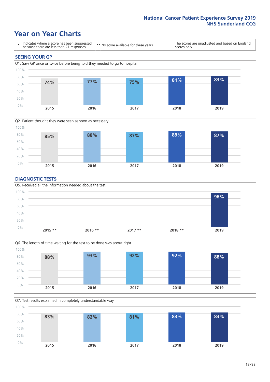### **Year on Year Charts**





#### **DIAGNOSTIC TESTS**





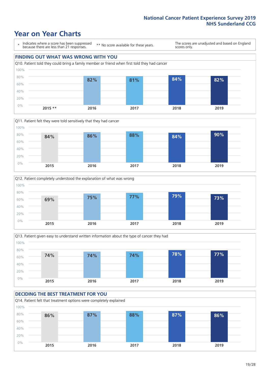### **Year on Year Charts**



**2015 \*\* 2016 2017 2018 2019**







#### **DECIDING THE BEST TREATMENT FOR YOU** Q14. Patient felt that treatment options were completely explained 60% 80% 100% **86% 87% 88% 87% 86%**

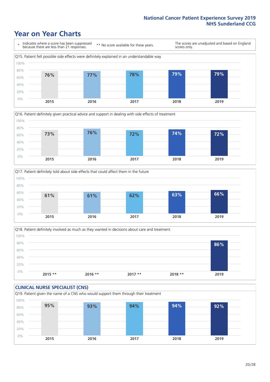### **Year on Year Charts**







Q18. Patient definitely involved as much as they wanted in decisions about care and treatment  $0%$ 20% 40% 60% 80% 100% **2015 \*\* 2016 \*\* 2017 \*\* 2018 \*\* 2019 86%**

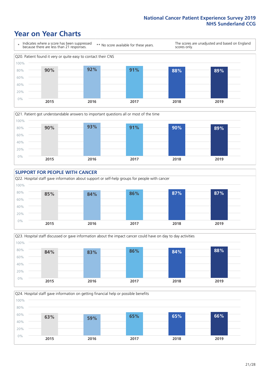### **Year on Year Charts**









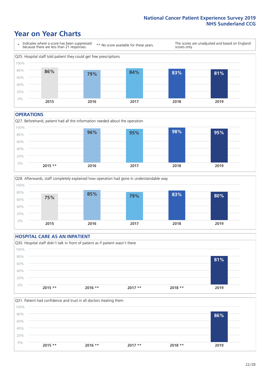### **Year on Year Charts**



#### **OPERATIONS**





#### **HOSPITAL CARE AS AN INPATIENT** Q30. Hospital staff didn't talk in front of patient as if patient wasn't there 0% 20% 40% 60% 80% 100% **2015 \*\* 2016 \*\* 2017 \*\* 2018 \*\* 2019 81%**

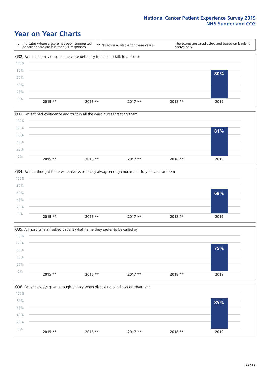### **Year on Year Charts**









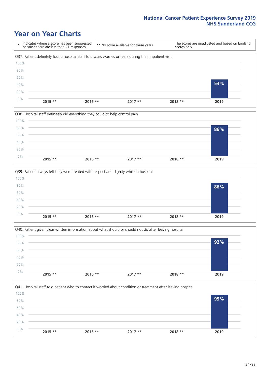### **Year on Year Charts**









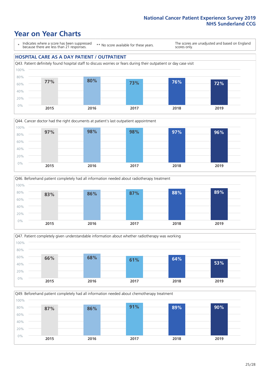### **Year on Year Charts**

\* Indicates where a score has been suppressed because there are less than 21 responses.

\*\* No score available for these years.

The scores are unadjusted and based on England scores only.

#### **HOSPITAL CARE AS A DAY PATIENT / OUTPATIENT**









Q49. Beforehand patient completely had all information needed about chemotherapy treatment 100%

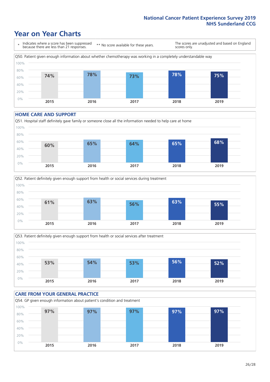### **Year on Year Charts**



#### **HOME CARE AND SUPPORT**







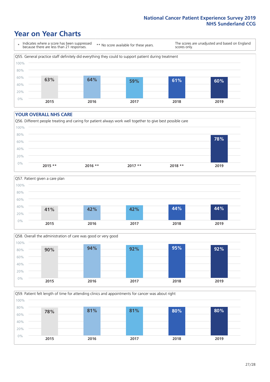### **Year on Year Charts**

\* Indicates where a score has been suppressed because there are less than 21 responses.

\*\* No score available for these years.

The scores are unadjusted and based on England scores only.



#### **YOUR OVERALL NHS CARE**

0%







**2015 2016 2017 2018 2019**

Q59. Patient felt length of time for attending clinics and appointments for cancer was about right 20% 40% 60% 80% 100% **78% 81% 81% 80% 80%**